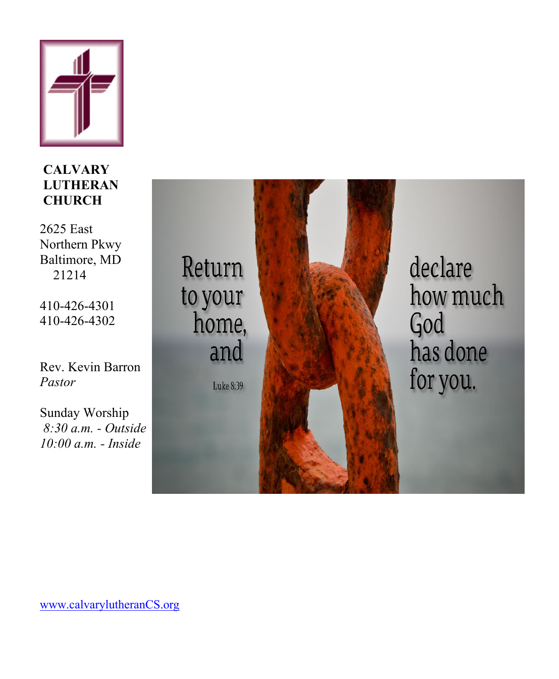

**CALVARY LUTHERAN CHURCH** 

2625 East Northern Pkwy Baltimore, MD 21214

410-426-4301 410-426-4302

Rev. Kevin Barron *Pastor*

Sunday Worship *8:30 a.m. - Outside 10:00 a.m. - Inside*

Return to your home, and Luke 8:39



declare how much God has done for you.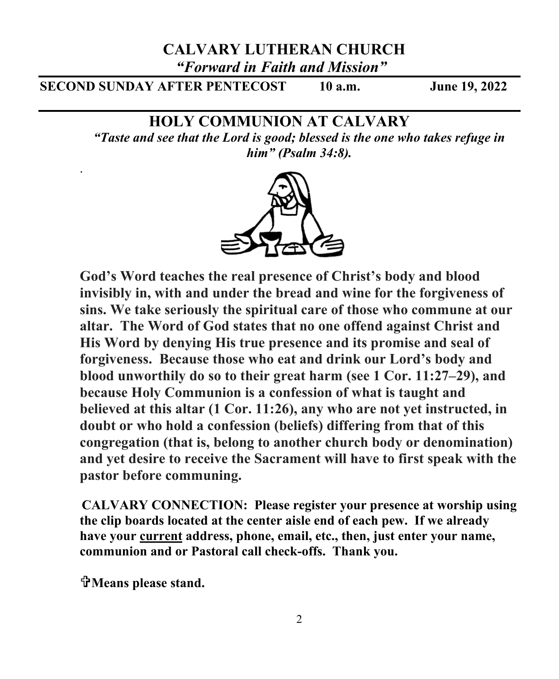## **CALVARY LUTHERAN CHURCH**

*"Forward in Faith and Mission"*

**SECOND SUNDAY AFTER PENTECOST 10 a.m. June 19, 2022**

## **HOLY COMMUNION AT CALVARY**

*"Taste and see that the Lord is good; blessed is the one who takes refuge in him" (Psalm 34:8).*



**God's Word teaches the real presence of Christ's body and blood invisibly in, with and under the bread and wine for the forgiveness of sins. We take seriously the spiritual care of those who commune at our altar. The Word of God states that no one offend against Christ and His Word by denying His true presence and its promise and seal of forgiveness. Because those who eat and drink our Lord's body and blood unworthily do so to their great harm (see 1 Cor. 11:27–29), and because Holy Communion is a confession of what is taught and believed at this altar (1 Cor. 11:26), any who are not yet instructed, in doubt or who hold a confession (beliefs) differing from that of this congregation (that is, belong to another church body or denomination) and yet desire to receive the Sacrament will have to first speak with the pastor before communing.**

**CALVARY CONNECTION: Please register your presence at worship using the clip boards located at the center aisle end of each pew. If we already have your current address, phone, email, etc., then, just enter your name, communion and or Pastoral call check-offs. Thank you.**

**Means please stand.** 

.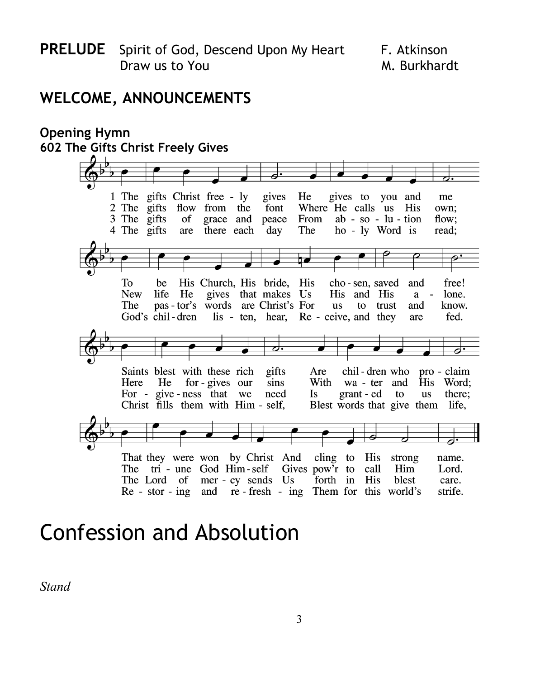## **WELCOME, ANNOUNCEMENTS**

#### **Opening Hymn 602 The Gifts Christ Freely Gives** 1 The gifts Christ free - ly gives to you and gives He me 2 The gifts flow from the font Where He calls us His own: 3 The gifts of grace and peace From  $ab - so - lu - tion$ flow: 4 The gifts there each The ho - ly Word is are day read: To be His Church, His bride, His cho-sen, saved and free! **New** life He gives that makes Us His and His lone.  $a$ pas-tor's words are Christ's For to trust The **us** and know. God's chil-dren lis - ten, hear, Re - ceive, and they are fed. Saints blest with these rich chil-dren who pro-claim gifts Are Here He for - gives our sins With wa - ter and His Word: For - give-ness that we need grant - ed there; Is to **us** Christ fills them with Him - self, Blest words that give them life, That they were won by Christ And cling to His strong name. The tri - une God Him-self Gives pow'r to call Him Lord. The Lord of mer - cy sends Us forth in His blest care. Re - stor - ing and re - fresh - ing Them for this world's strife.

# Confession and Absolution

*Stand*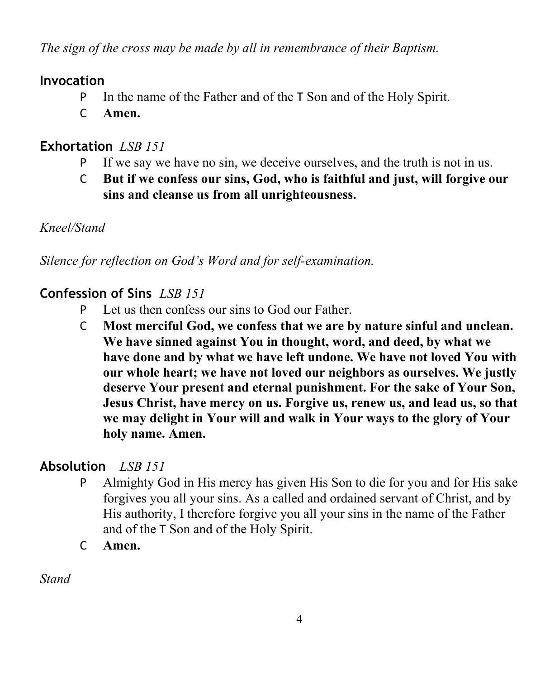*The sign of the cross may be made by all in remembrance of their Baptism.*

## **Invocation**

- P In the name of the Father and of the T Son and of the Holy Spirit.
- C **Amen.**

## **Exhortation** *LSB 151*

- P If we say we have no sin, we deceive ourselves, and the truth is not in us.
- C **But if we confess our sins, God, who is faithful and just, will forgive our sins and cleanse us from all unrighteousness.**

## *Kneel/Stand*

*Silence for reflection on God's Word and for self-examination.*

## **Confession of Sins** *LSB 151*

- P Let us then confess our sins to God our Father.
- C **Most merciful God, we confess that we are by nature sinful and unclean. We have sinned against You in thought, word, and deed, by what we have done and by what we have left undone. We have not loved You with our whole heart; we have not loved our neighbors as ourselves. We justly deserve Your present and eternal punishment. For the sake of Your Son, Jesus Christ, have mercy on us. Forgive us, renew us, and lead us, so that we may delight in Your will and walk in Your ways to the glory of Your holy name. Amen.**

## **Absolution** *LSB 151*

- P Almighty God in His mercy has given His Son to die for you and for His sake forgives you all your sins. As a called and ordained servant of Christ, and by His authority, I therefore forgive you all your sins in the name of the Father and of the T Son and of the Holy Spirit.
- C **Amen.**

*Stand*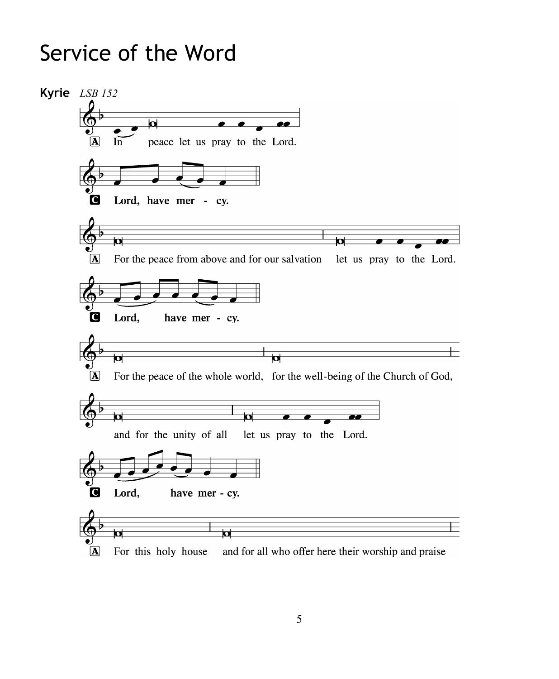# Service of the Word

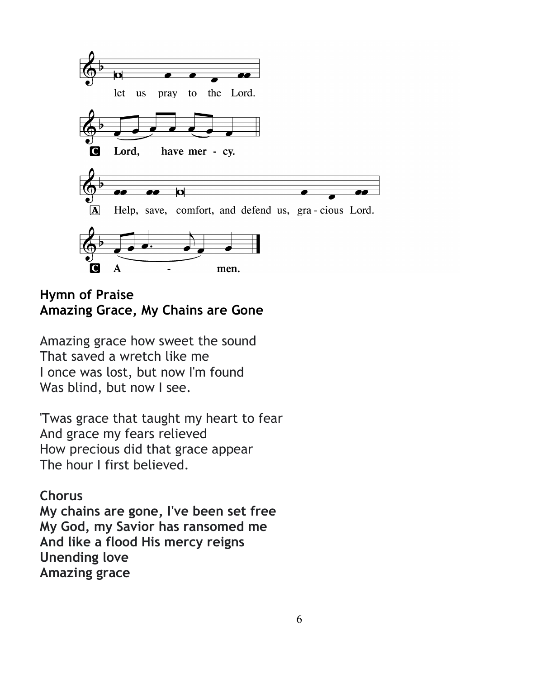

**Hymn of Praise Amazing Grace, My Chains are Gone**

Amazing grace how sweet the sound That saved a wretch like me I once was lost, but now I'm found Was blind, but now I see.

'Twas grace that taught my heart to fear And grace my fears relieved How precious did that grace appear The hour I first believed.

## **Chorus**

**My chains are gone, I've been set free My God, my Savior has ransomed me And like a flood His mercy reigns Unending love Amazing grace**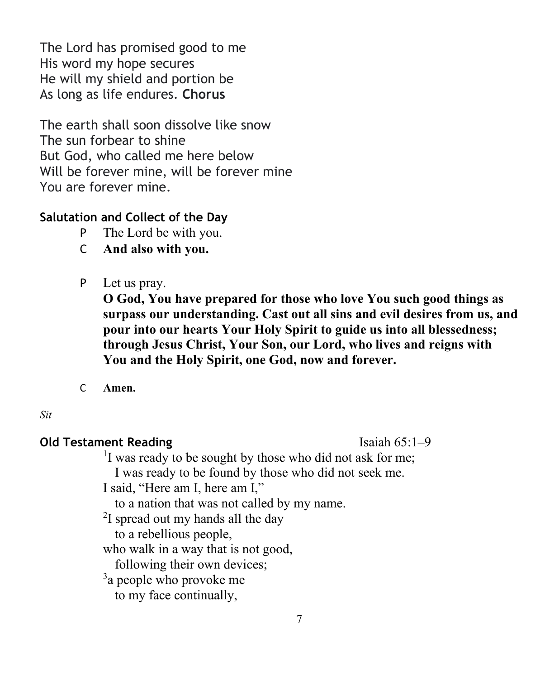The Lord has promised good to me His word my hope secures He will my shield and portion be As long as life endures. **Chorus**

The earth shall soon dissolve like snow The sun forbear to shine But God, who called me here below Will be forever mine, will be forever mine You are forever mine.

### **Salutation and Collect of the Day**

- P The Lord be with you.
- C **And also with you.**
- P Let us pray.

**O God, You have prepared for those who love You such good things as surpass our understanding. Cast out all sins and evil desires from us, and pour into our hearts Your Holy Spirit to guide us into all blessedness; through Jesus Christ, Your Son, our Lord, who lives and reigns with You and the Holy Spirit, one God, now and forever.**

C **Amen.**

#### *Sit*

### **Old Testament Reading Isaiah 65:1–9**

<sup>1</sup>I was ready to be sought by those who did not ask for me; I was ready to be found by those who did not seek me.

I said, "Here am I, here am I,"

to a nation that was not called by my name.

<sup>2</sup>I spread out my hands all the day

to a rebellious people,

who walk in a way that is not good,

following their own devices;

 $3a$  people who provoke me

to my face continually,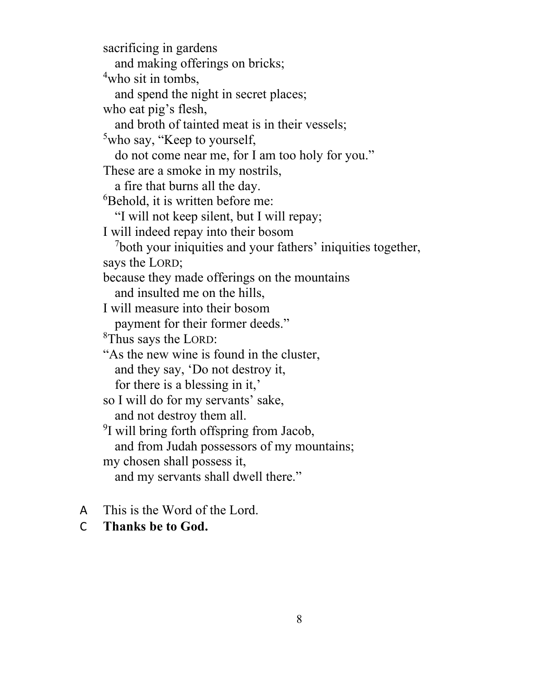sacrificing in gardens and making offerings on bricks; 4 who sit in tombs, and spend the night in secret places; who eat pig's flesh, and broth of tainted meat is in their vessels; <sup>5</sup>who say, "Keep to yourself, do not come near me, for I am too holy for you." These are a smoke in my nostrils, a fire that burns all the day. 6 Behold, it is written before me: "I will not keep silent, but I will repay; I will indeed repay into their bosom <sup>7</sup>both your iniquities and your fathers' iniquities together, says the LORD; because they made offerings on the mountains and insulted me on the hills, I will measure into their bosom payment for their former deeds." <sup>8</sup>Thus says the LORD: "As the new wine is found in the cluster, and they say, 'Do not destroy it, for there is a blessing in it,' so I will do for my servants' sake, and not destroy them all. <sup>9</sup>I will bring forth offspring from Jacob, and from Judah possessors of my mountains; my chosen shall possess it, and my servants shall dwell there."

- A This is the Word of the Lord.
- C **Thanks be to God.**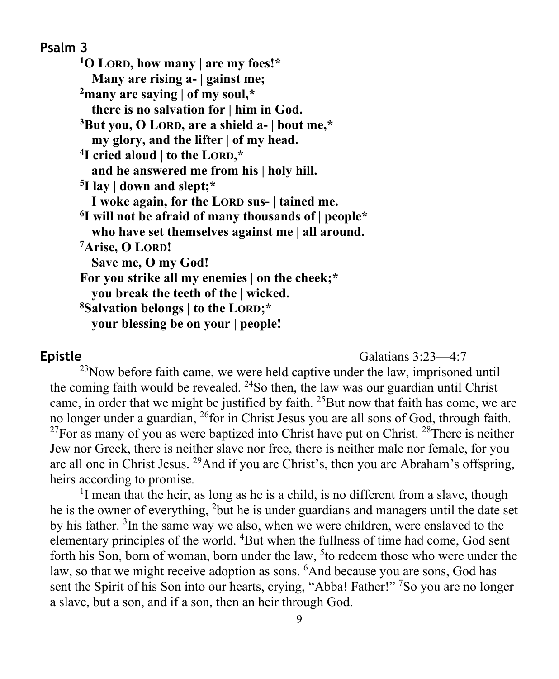**Psalm 3 1O LORD, how many | are my foes!\* Many are rising a- | gainst me; 2many are saying | of my soul,\* there is no salvation for | him in God. 3But you, O LORD, are a shield a- | bout me,\* my glory, and the lifter | of my head. 4I cried aloud | to the LORD,\* and he answered me from his | holy hill. 5I lay | down and slept;\* I woke again, for the LORD sus- | tained me. 6I will not be afraid of many thousands of | people\* who have set themselves against me | all around. 7Arise, O LORD! Save me, O my God! For you strike all my enemies | on the cheek;\* you break the teeth of the | wicked. 8Salvation belongs | to the LORD;\* your blessing be on your | people!**

**Epistle** Galatians 3:23—4:7

 $^{23}$ Now before faith came, we were held captive under the law, imprisoned until the coming faith would be revealed.  $24$ So then, the law was our guardian until Christ came, in order that we might be justified by faith. <sup>25</sup>But now that faith has come, we are no longer under a guardian, 26for in Christ Jesus you are all sons of God, through faith.  $^{27}$ For as many of you as were baptized into Christ have put on Christ.  $^{28}$ There is neither Jew nor Greek, there is neither slave nor free, there is neither male nor female, for you are all one in Christ Jesus. 29And if you are Christ's, then you are Abraham's offspring, heirs according to promise.

<sup>1</sup>I mean that the heir, as long as he is a child, is no different from a slave, though he is the owner of everything, <sup>2</sup>but he is under guardians and managers until the date set by his father. <sup>3</sup>In the same way we also, when we were children, were enslaved to the elementary principles of the world. <sup>4</sup>But when the fullness of time had come, God sent forth his Son, born of woman, born under the law, <sup>5</sup> to redeem those who were under the law, so that we might receive adoption as sons. <sup>6</sup>And because you are sons, God has sent the Spirit of his Son into our hearts, crying, "Abba! Father!" <sup>7</sup>So you are no longer a slave, but a son, and if a son, then an heir through God.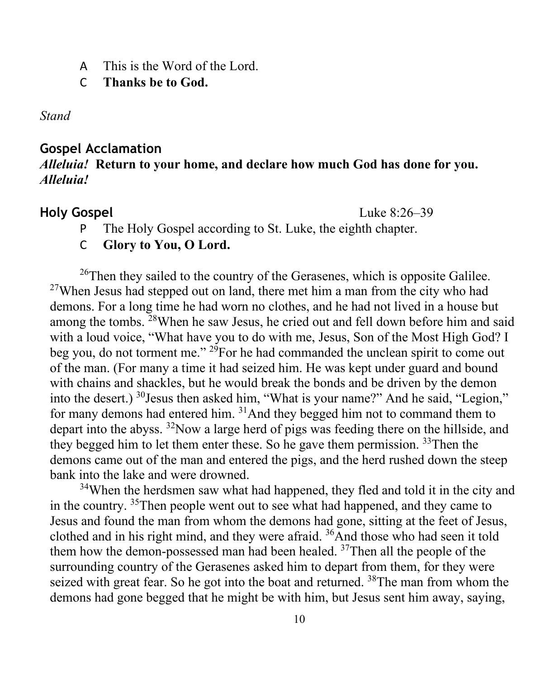A This is the Word of the Lord.

C **Thanks be to God.**

*Stand*

#### **Gospel Acclamation**

### *Alleluia!* **Return to your home, and declare how much God has done for you.**  *Alleluia!*

**Holy Gospel** Luke 8:26–39

P The Holy Gospel according to St. Luke, the eighth chapter.

C **Glory to You, O Lord.**

 $26$ Then they sailed to the country of the Gerasenes, which is opposite Galilee.  $27$ When Jesus had stepped out on land, there met him a man from the city who had demons. For a long time he had worn no clothes, and he had not lived in a house but among the tombs. 28When he saw Jesus, he cried out and fell down before him and said with a loud voice, "What have you to do with me, Jesus, Son of the Most High God? I beg you, do not torment me." <sup>29</sup>For he had commanded the unclean spirit to come out of the man. (For many a time it had seized him. He was kept under guard and bound with chains and shackles, but he would break the bonds and be driven by the demon into the desert.) <sup>30</sup>Jesus then asked him, "What is your name?" And he said, "Legion," for many demons had entered him. 31And they begged him not to command them to depart into the abyss. <sup>32</sup>Now a large herd of pigs was feeding there on the hillside, and they begged him to let them enter these. So he gave them permission. <sup>33</sup>Then the demons came out of the man and entered the pigs, and the herd rushed down the steep bank into the lake and were drowned.

<sup>34</sup>When the herdsmen saw what had happened, they fled and told it in the city and in the country. <sup>35</sup>Then people went out to see what had happened, and they came to Jesus and found the man from whom the demons had gone, sitting at the feet of Jesus, clothed and in his right mind, and they were afraid. 36And those who had seen it told them how the demon-possessed man had been healed.  $37$ Then all the people of the surrounding country of the Gerasenes asked him to depart from them, for they were seized with great fear. So he got into the boat and returned. <sup>38</sup>The man from whom the demons had gone begged that he might be with him, but Jesus sent him away, saying,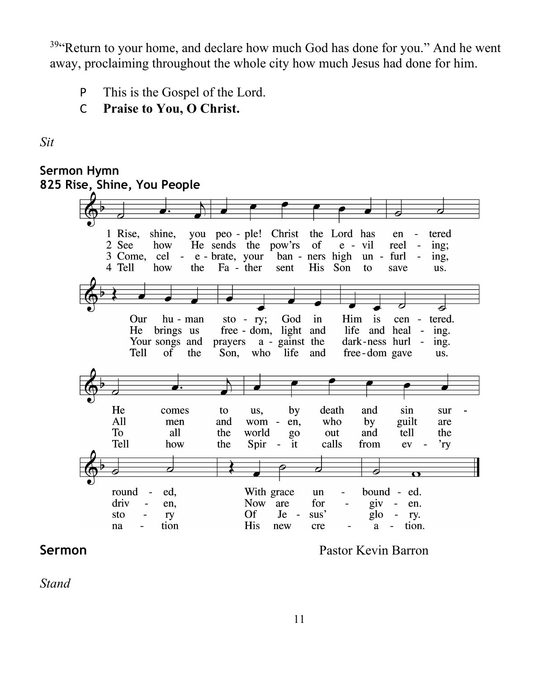$39$ <sup>4</sup>Return to your home, and declare how much God has done for you." And he went away, proclaiming throughout the whole city how much Jesus had done for him.

- P This is the Gospel of the Lord.
- C **Praise to You, O Christ.**

*Sit*



**Sermon Pastor Kevin Barron** 

*Stand*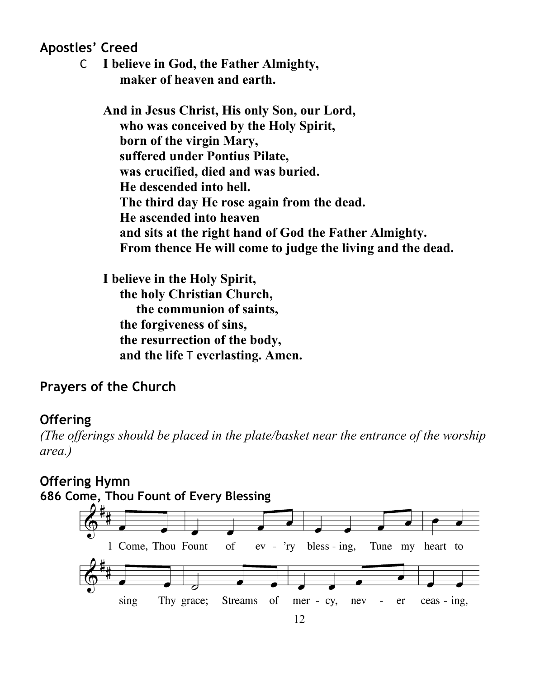**Apostles' Creed**

C **I believe in God, the Father Almighty, maker of heaven and earth.**

**And in Jesus Christ, His only Son, our Lord, who was conceived by the Holy Spirit, born of the virgin Mary, suffered under Pontius Pilate, was crucified, died and was buried. He descended into hell. The third day He rose again from the dead. He ascended into heaven and sits at the right hand of God the Father Almighty. From thence He will come to judge the living and the dead.**

**I believe in the Holy Spirit, the holy Christian Church, the communion of saints, the forgiveness of sins, the resurrection of the body, and the life** T **everlasting. Amen.**

## **Prayers of the Church**

## **Offering**

*(The offerings should be placed in the plate/basket near the entrance of the worship area.)*

## **Offering Hymn**

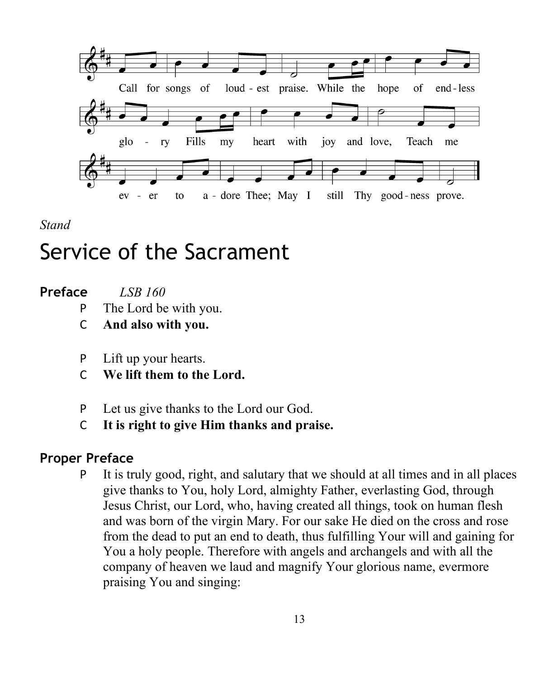

*Stand*

# Service of the Sacrament

| Preface | <b>LSB</b> 160 |
|---------|----------------|
|         |                |

- P The Lord be with you.
- C **And also with you.**
- P Lift up your hearts.
- C **We lift them to the Lord.**
- P Let us give thanks to the Lord our God.
- C **It is right to give Him thanks and praise.**

## **Proper Preface**

P It is truly good, right, and salutary that we should at all times and in all places give thanks to You, holy Lord, almighty Father, everlasting God, through Jesus Christ, our Lord, who, having created all things, took on human flesh and was born of the virgin Mary. For our sake He died on the cross and rose from the dead to put an end to death, thus fulfilling Your will and gaining for You a holy people. Therefore with angels and archangels and with all the company of heaven we laud and magnify Your glorious name, evermore praising You and singing: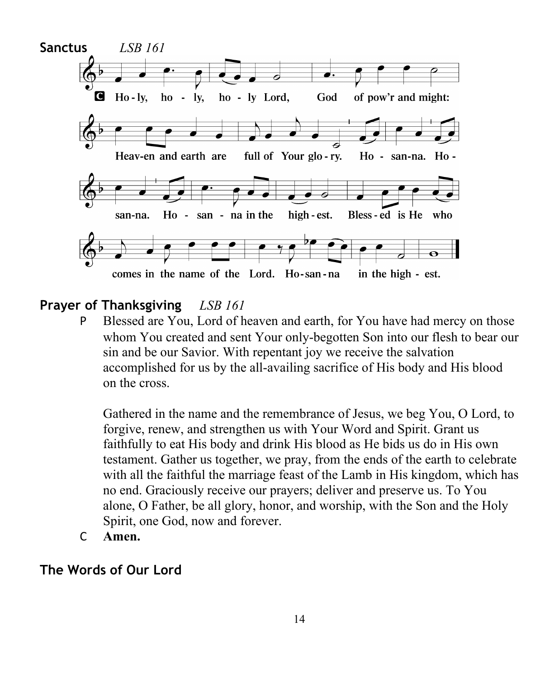

### **Prayer of Thanksgiving** *LSB 161*

P Blessed are You, Lord of heaven and earth, for You have had mercy on those whom You created and sent Your only-begotten Son into our flesh to bear our sin and be our Savior. With repentant joy we receive the salvation accomplished for us by the all-availing sacrifice of His body and His blood on the cross.

Gathered in the name and the remembrance of Jesus, we beg You, O Lord, to forgive, renew, and strengthen us with Your Word and Spirit. Grant us faithfully to eat His body and drink His blood as He bids us do in His own testament. Gather us together, we pray, from the ends of the earth to celebrate with all the faithful the marriage feast of the Lamb in His kingdom, which has no end. Graciously receive our prayers; deliver and preserve us. To You alone, O Father, be all glory, honor, and worship, with the Son and the Holy Spirit, one God, now and forever.

C **Amen.**

### **The Words of Our Lord**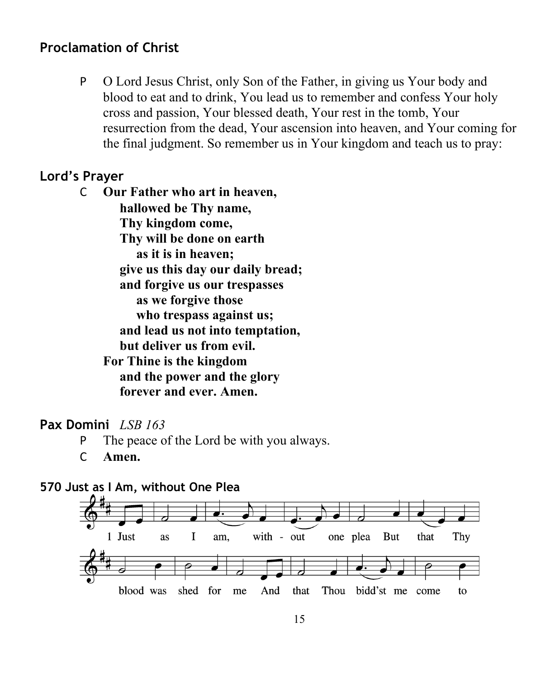## **Proclamation of Christ**

P O Lord Jesus Christ, only Son of the Father, in giving us Your body and blood to eat and to drink, You lead us to remember and confess Your holy cross and passion, Your blessed death, Your rest in the tomb, Your resurrection from the dead, Your ascension into heaven, and Your coming for the final judgment. So remember us in Your kingdom and teach us to pray:

## **Lord's Prayer**

C **Our Father who art in heaven, hallowed be Thy name, Thy kingdom come, Thy will be done on earth as it is in heaven; give us this day our daily bread; and forgive us our trespasses as we forgive those who trespass against us; and lead us not into temptation, but deliver us from evil. For Thine is the kingdom and the power and the glory forever and ever. Amen.**

#### **Pax Domini** *LSB 163*

- P The peace of the Lord be with you always.
- C **Amen.**



#### **570 Just as I Am, without One Plea**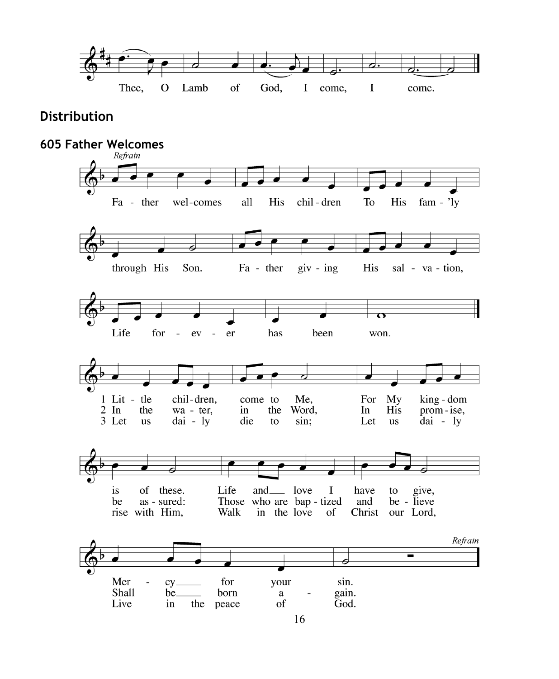

#### **Distribution**

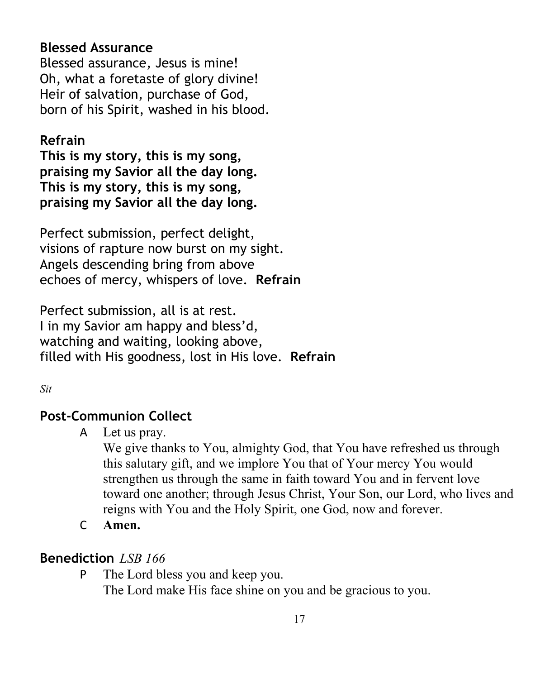## **Blessed Assurance**

Blessed assurance, Jesus is mine! Oh, what a foretaste of glory divine! Heir of salvation, purchase of God, born of his Spirit, washed in his blood.

## **Refrain**

**This is my story, this is my song, praising my Savior all the day long. This is my story, this is my song, praising my Savior all the day long.**

Perfect submission, perfect delight, visions of rapture now burst on my sight. Angels descending bring from above echoes of mercy, whispers of love. **Refrain**

Perfect submission, all is at rest. I in my Savior am happy and bless'd, watching and waiting, looking above, filled with His goodness, lost in His love. **Refrain**

### *Sit*

## **Post-Communion Collect**

A Let us pray.

We give thanks to You, almighty God, that You have refreshed us through this salutary gift, and we implore You that of Your mercy You would strengthen us through the same in faith toward You and in fervent love toward one another; through Jesus Christ, Your Son, our Lord, who lives and reigns with You and the Holy Spirit, one God, now and forever.

C **Amen.**

## **Benediction** *LSB 166*

P The Lord bless you and keep you.

The Lord make His face shine on you and be gracious to you.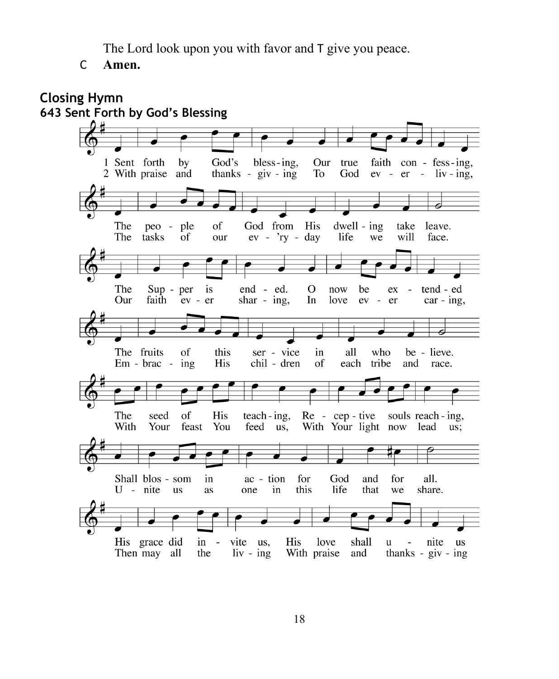The Lord look upon you with favor and T give you peace.

C **Amen.**

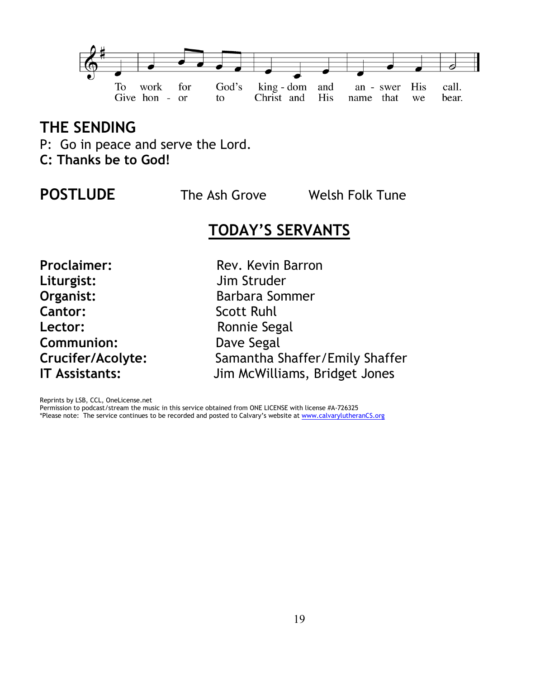

## **THE SENDING**

- P: Go in peace and serve the Lord.
- **C: Thanks be to God!**

**POSTLUDE** The Ash GroveWelsh Folk Tune

## **TODAY'S SERVANTS**

**Liturgist:** Jim Struder **Organist: Barbara Sommer Cantor:** Scott Ruhl Lector: **Ronnie Segal Communion:** Dave Segal

**Proclaimer:** Rev. Kevin Barron **Crucifer/Acolyte:** Samantha Shaffer/Emily Shaffer **IT Assistants:** Jim McWilliams, Bridget Jones

Reprints by LSB, CCL, OneLicense.net

Permission to podcast/stream the music in this service obtained from ONE LICENSE with license #A-726325 \*Please note: The service continues to be recorded and posted to Calvary's website at [www.calvarylutheranCS.org](http://www.calvarylutherancs.org/)